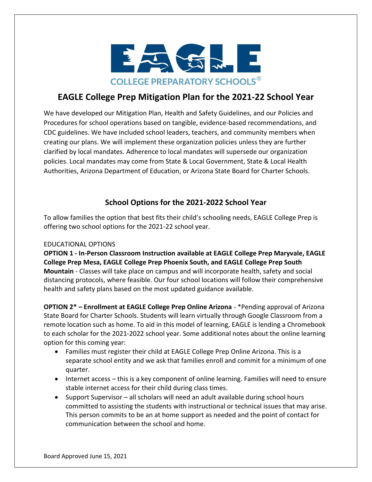

# **EAGLE College Prep Mitigation Plan for the 2021-22 School Year**

We have developed our Mitigation Plan, Health and Safety Guidelines, and our Policies and Procedures for school operations based on tangible, evidence-based recommendations, and CDC guidelines. We have included school leaders, teachers, and community members when creating our plans. We will implement these organization policies unless they are further clarified by local mandates. Adherence to local mandates will supersede our organization policies. Local mandates may come from State & Local Government, State & Local Health Authorities, Arizona Department of Education, or Arizona State Board for Charter Schools.

## **School Options for the 2021-2022 School Year**

To allow families the option that best fits their child's schooling needs, EAGLE College Prep is offering two school options for the 2021-22 school year.

#### EDUCATIONAL OPTIONS

**OPTION 1 - In-Person Classroom Instruction available at EAGLE College Prep Maryvale, EAGLE College Prep Mesa, EAGLE College Prep Phoenix South, and EAGLE College Prep South Mountain** - Classes will take place on campus and will incorporate health, safety and social distancing protocols, where feasible. Our four school locations will follow their comprehensive health and safety plans based on the most updated guidance available.

**OPTION 2\* – Enrollment at EAGLE College Prep Online Arizona** - \*Pending approval of Arizona State Board for Charter Schools. Students will learn virtually through Google Classroom from a remote location such as home. To aid in this model of learning, EAGLE is lending a Chromebook to each scholar for the 2021-2022 school year. Some additional notes about the online learning option for this coming year:

- Families must register their child at EAGLE College Prep Online Arizona. This is a separate school entity and we ask that families enroll and commit for a minimum of one quarter.
- Internet access this is a key component of online learning. Families will need to ensure stable internet access for their child during class times.
- Support Supervisor all scholars will need an adult available during school hours committed to assisting the students with instructional or technical issues that may arise. This person commits to be an at home support as needed and the point of contact for communication between the school and home.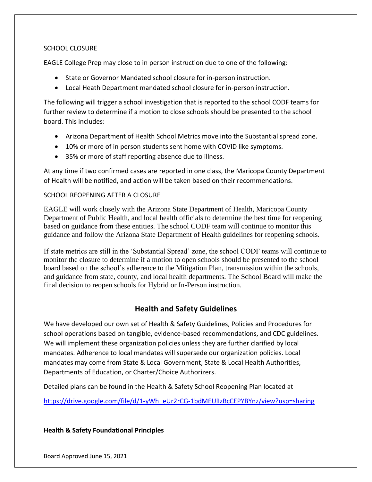## SCHOOL CLOSURE

EAGLE College Prep may close to in person instruction due to one of the following:

- State or Governor Mandated school closure for in-person instruction.
- Local Heath Department mandated school closure for in-person instruction.

The following will trigger a school investigation that is reported to the school CODF teams for further review to determine if a motion to close schools should be presented to the school board. This includes:

- Arizona Department of Health School Metrics move into the Substantial spread zone.
- 10% or more of in person students sent home with COVID like symptoms.
- 35% or more of staff reporting absence due to illness.

At any time if two confirmed cases are reported in one class, the Maricopa County Department of Health will be notified, and action will be taken based on their recommendations.

#### SCHOOL REOPENING AFTER A CLOSURE

EAGLE will work closely with the Arizona State Department of Health, Maricopa County Department of Public Health, and local health officials to determine the best time for reopening based on guidance from these entities. The school CODF team will continue to monitor this guidance and follow the Arizona State Department of Health guidelines for reopening schools.

If state metrics are still in the 'Substantial Spread' zone, the school CODF teams will continue to monitor the closure to determine if a motion to open schools should be presented to the school board based on the school's adherence to the Mitigation Plan, transmission within the schools, and guidance from state, county, and local health departments. The School Board will make the final decision to reopen schools for Hybrid or In-Person instruction.

## **Health and Safety Guidelines**

We have developed our own set of Health & Safety Guidelines, Policies and Procedures for school operations based on tangible, evidence-based recommendations, and CDC guidelines. We will implement these organization policies unless they are further clarified by local mandates. Adherence to local mandates will supersede our organization policies. Local mandates may come from State & Local Government, State & Local Health Authorities, Departments of Education, or Charter/Choice Authorizers.

Detailed plans can be found in the Health & Safety School Reopening Plan located at

[https://drive.google.com/file/d/1-yWh\\_eUr2rCG-1bdMEUlIzBcCEPYBYnz/view?usp=sharing](https://drive.google.com/file/d/1-yWh_eUr2rCG-1bdMEUlIzBcCEPYBYnz/view?usp=sharing)

#### **Health & Safety Foundational Principles**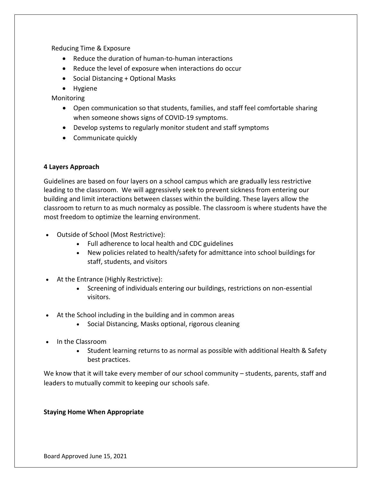Reducing Time & Exposure

- Reduce the duration of human-to-human interactions
- Reduce the level of exposure when interactions do occur
- Social Distancing + Optional Masks
- Hygiene

Monitoring

- Open communication so that students, families, and staff feel comfortable sharing when someone shows signs of COVID-19 symptoms.
- Develop systems to regularly monitor student and staff symptoms
- Communicate quickly

## **4 Layers Approach**

Guidelines are based on four layers on a school campus which are gradually less restrictive leading to the classroom. We will aggressively seek to prevent sickness from entering our building and limit interactions between classes within the building. These layers allow the classroom to return to as much normalcy as possible. The classroom is where students have the most freedom to optimize the learning environment.

- Outside of School (Most Restrictive):
	- Full adherence to local health and CDC guidelines
	- New policies related to health/safety for admittance into school buildings for staff, students, and visitors
- At the Entrance (Highly Restrictive):
	- Screening of individuals entering our buildings, restrictions on non-essential visitors.
- At the School including in the building and in common areas
	- Social Distancing, Masks optional, rigorous cleaning
- In the Classroom
	- Student learning returns to as normal as possible with additional Health & Safety best practices.

We know that it will take every member of our school community – students, parents, staff and leaders to mutually commit to keeping our schools safe.

#### **Staying Home When Appropriate**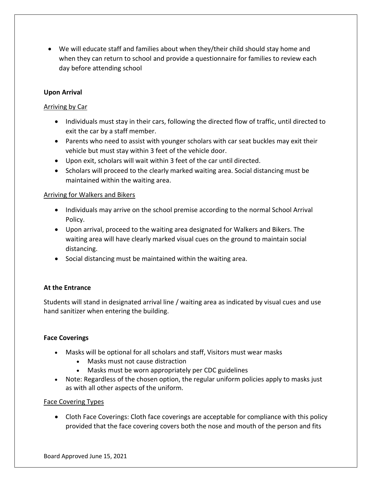• We will educate staff and families about when they/their child should stay home and when they can return to school and provide a questionnaire for families to review each day before attending school

## **Upon Arrival**

## Arriving by Car

- Individuals must stay in their cars, following the directed flow of traffic, until directed to exit the car by a staff member.
- Parents who need to assist with younger scholars with car seat buckles may exit their vehicle but must stay within 3 feet of the vehicle door.
- Upon exit, scholars will wait within 3 feet of the car until directed.
- Scholars will proceed to the clearly marked waiting area. Social distancing must be maintained within the waiting area.

## Arriving for Walkers and Bikers

- Individuals may arrive on the school premise according to the normal School Arrival Policy.
- Upon arrival, proceed to the waiting area designated for Walkers and Bikers. The waiting area will have clearly marked visual cues on the ground to maintain social distancing.
- Social distancing must be maintained within the waiting area.

## **At the Entrance**

Students will stand in designated arrival line / waiting area as indicated by visual cues and use hand sanitizer when entering the building.

## **Face Coverings**

- Masks will be optional for all scholars and staff, Visitors must wear masks
	- Masks must not cause distraction
	- Masks must be worn appropriately per CDC guidelines
- Note: Regardless of the chosen option, the regular uniform policies apply to masks just as with all other aspects of the uniform.

#### Face Covering Types

• Cloth Face Coverings: Cloth face coverings are acceptable for compliance with this policy provided that the face covering covers both the nose and mouth of the person and fits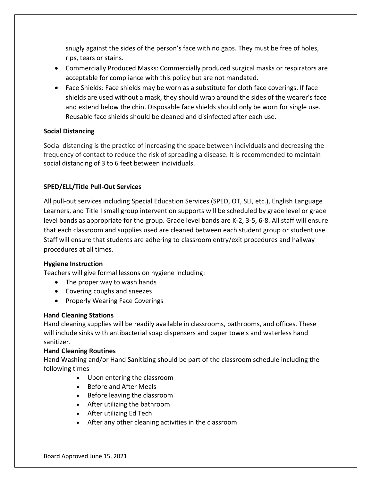snugly against the sides of the person's face with no gaps. They must be free of holes, rips, tears or stains.

- Commercially Produced Masks: Commercially produced surgical masks or respirators are acceptable for compliance with this policy but are not mandated.
- Face Shields: Face shields may be worn as a substitute for cloth face coverings. If face shields are used without a mask, they should wrap around the sides of the wearer's face and extend below the chin. Disposable face shields should only be worn for single use. Reusable face shields should be cleaned and disinfected after each use.

## **Social Distancing**

Social distancing is the practice of increasing the space between individuals and decreasing the frequency of contact to reduce the risk of spreading a disease. It is recommended to maintain social distancing of 3 to 6 feet between individuals.

## **SPED/ELL/Title Pull-Out Services**

All pull-out services including Special Education Services (SPED, OT, SLI, etc.), English Language Learners, and Title I small group intervention supports will be scheduled by grade level or grade level bands as appropriate for the group. Grade level bands are K-2, 3-5, 6-8. All staff will ensure that each classroom and supplies used are cleaned between each student group or student use. Staff will ensure that students are adhering to classroom entry/exit procedures and hallway procedures at all times.

#### **Hygiene Instruction**

Teachers will give formal lessons on hygiene including:

- The proper way to wash hands
- Covering coughs and sneezes
- Properly Wearing Face Coverings

#### **Hand Cleaning Stations**

Hand cleaning supplies will be readily available in classrooms, bathrooms, and offices. These will include sinks with antibacterial soap dispensers and paper towels and waterless hand sanitizer.

#### **Hand Cleaning Routines**

Hand Washing and/or Hand Sanitizing should be part of the classroom schedule including the following times

- Upon entering the classroom
- Before and After Meals
- Before leaving the classroom
- After utilizing the bathroom
- After utilizing Ed Tech
- After any other cleaning activities in the classroom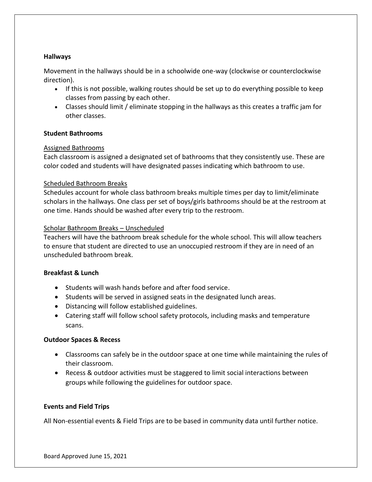#### **Hallways**

Movement in the hallways should be in a schoolwide one-way (clockwise or counterclockwise direction).

- If this is not possible, walking routes should be set up to do everything possible to keep classes from passing by each other.
- Classes should limit / eliminate stopping in the hallways as this creates a traffic jam for other classes.

#### **Student Bathrooms**

#### Assigned Bathrooms

Each classroom is assigned a designated set of bathrooms that they consistently use. These are color coded and students will have designated passes indicating which bathroom to use.

#### Scheduled Bathroom Breaks

Schedules account for whole class bathroom breaks multiple times per day to limit/eliminate scholars in the hallways. One class per set of boys/girls bathrooms should be at the restroom at one time. Hands should be washed after every trip to the restroom.

#### Scholar Bathroom Breaks – Unscheduled

Teachers will have the bathroom break schedule for the whole school. This will allow teachers to ensure that student are directed to use an unoccupied restroom if they are in need of an unscheduled bathroom break.

#### **Breakfast & Lunch**

- Students will wash hands before and after food service.
- Students will be served in assigned seats in the designated lunch areas.
- Distancing will follow established guidelines.
- Catering staff will follow school safety protocols, including masks and temperature scans.

#### **Outdoor Spaces & Recess**

- Classrooms can safely be in the outdoor space at one time while maintaining the rules of their classroom.
- Recess & outdoor activities must be staggered to limit social interactions between groups while following the guidelines for outdoor space.

#### **Events and Field Trips**

All Non-essential events & Field Trips are to be based in community data until further notice.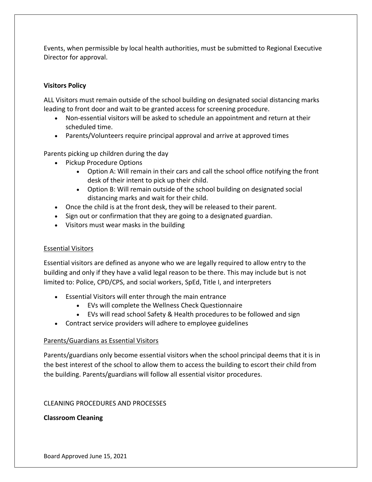Events, when permissible by local health authorities, must be submitted to Regional Executive Director for approval.

## **Visitors Policy**

ALL Visitors must remain outside of the school building on designated social distancing marks leading to front door and wait to be granted access for screening procedure.

- Non-essential visitors will be asked to schedule an appointment and return at their scheduled time.
- Parents/Volunteers require principal approval and arrive at approved times

Parents picking up children during the day

- Pickup Procedure Options
	- Option A: Will remain in their cars and call the school office notifying the front desk of their intent to pick up their child.
	- Option B: Will remain outside of the school building on designated social distancing marks and wait for their child.
- Once the child is at the front desk, they will be released to their parent.
- Sign out or confirmation that they are going to a designated guardian.
- Visitors must wear masks in the building

#### Essential Visitors

Essential visitors are defined as anyone who we are legally required to allow entry to the building and only if they have a valid legal reason to be there. This may include but is not limited to: Police, CPD/CPS, and social workers, SpEd, Title I, and interpreters

- Essential Visitors will enter through the main entrance
	- EVs will complete the Wellness Check Questionnaire
	- EVs will read school Safety & Health procedures to be followed and sign
- Contract service providers will adhere to employee guidelines

## Parents/Guardians as Essential Visitors

Parents/guardians only become essential visitors when the school principal deems that it is in the best interest of the school to allow them to access the building to escort their child from the building. Parents/guardians will follow all essential visitor procedures.

## CLEANING PROCEDURES AND PROCESSES

## **Classroom Cleaning**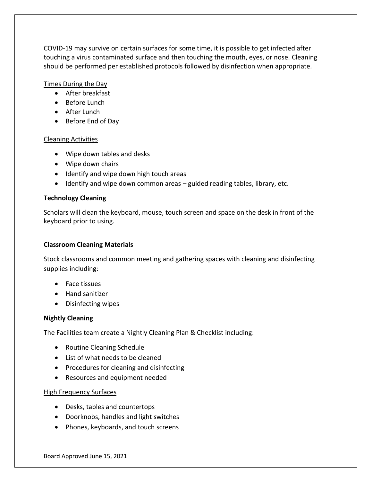COVID-19 may survive on certain surfaces for some time, it is possible to get infected after touching a virus contaminated surface and then touching the mouth, eyes, or nose. Cleaning should be performed per established protocols followed by disinfection when appropriate.

#### Times During the Day

- After breakfast
- Before Lunch
- After Lunch
- Before End of Day

#### Cleaning Activities

- Wipe down tables and desks
- Wipe down chairs
- Identify and wipe down high touch areas
- Identify and wipe down common areas guided reading tables, library, etc.

#### **Technology Cleaning**

Scholars will clean the keyboard, mouse, touch screen and space on the desk in front of the keyboard prior to using.

#### **Classroom Cleaning Materials**

Stock classrooms and common meeting and gathering spaces with cleaning and disinfecting supplies including:

- Face tissues
- Hand sanitizer
- Disinfecting wipes

#### **Nightly Cleaning**

The Facilities team create a Nightly Cleaning Plan & Checklist including:

- Routine Cleaning Schedule
- List of what needs to be cleaned
- Procedures for cleaning and disinfecting
- Resources and equipment needed

#### High Frequency Surfaces

- Desks, tables and countertops
- Doorknobs, handles and light switches
- Phones, keyboards, and touch screens